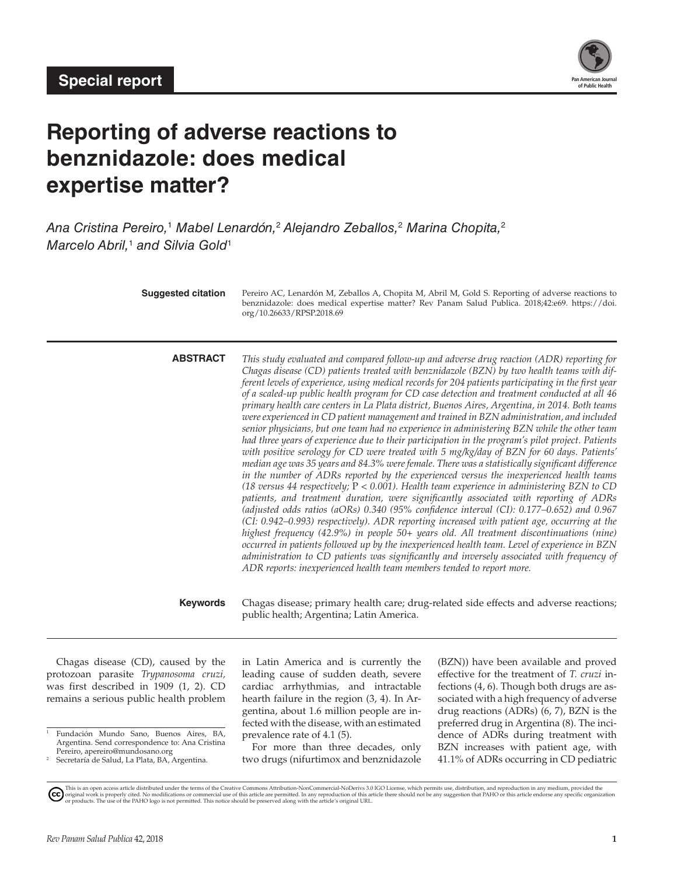

# **Reporting of adverse reactions to benznidazole: does medical expertise matter?**

*Ana Cristina Pereiro,*<sup>1</sup> *Mabel Lenardón,*<sup>2</sup>  *Alejandro Zeballos,*<sup>2</sup>  *Marina Chopita,*<sup>2</sup> *Marcelo Abril,*<sup>1</sup> *and Silvia Gold*<sup>1</sup>

| <b>Suggested citation</b> | Pereiro AC, Lenardón M, Zeballos A, Chopita M, Abril M, Gold S. Reporting of adverse reactions to<br>benznidazole: does medical expertise matter? Rev Panam Salud Publica. 2018;42:e69. https://doi.<br>org/10.26633/RPSP.2018.69                                                                                                                                                                                                                                                                                                                                                                                                                                                                                                                                                                                                                                                                                                                                                                                                                                                                                                                                                                                                                                                                                                                                                                                                                                                                                                                                                                                                                                                                                                                                                                                                                            |
|---------------------------|--------------------------------------------------------------------------------------------------------------------------------------------------------------------------------------------------------------------------------------------------------------------------------------------------------------------------------------------------------------------------------------------------------------------------------------------------------------------------------------------------------------------------------------------------------------------------------------------------------------------------------------------------------------------------------------------------------------------------------------------------------------------------------------------------------------------------------------------------------------------------------------------------------------------------------------------------------------------------------------------------------------------------------------------------------------------------------------------------------------------------------------------------------------------------------------------------------------------------------------------------------------------------------------------------------------------------------------------------------------------------------------------------------------------------------------------------------------------------------------------------------------------------------------------------------------------------------------------------------------------------------------------------------------------------------------------------------------------------------------------------------------------------------------------------------------------------------------------------------------|
| <b>ABSTRACT</b>           | This study evaluated and compared follow-up and adverse drug reaction (ADR) reporting for<br>Chagas disease (CD) patients treated with benznidazole (BZN) by two health teams with dif-<br>ferent levels of experience, using medical records for 204 patients participating in the first year<br>of a scaled-up public health program for CD case detection and treatment conducted at all 46<br>primary health care centers in La Plata district, Buenos Aires, Argentina, in 2014. Both teams<br>were experienced in CD patient management and trained in BZN administration, and included<br>senior physicians, but one team had no experience in administering BZN while the other team<br>had three years of experience due to their participation in the program's pilot project. Patients<br>with positive serology for CD were treated with 5 mg/kg/day of BZN for 60 days. Patients'<br>median age was 35 years and 84.3% were female. There was a statistically significant difference<br>in the number of ADRs reported by the experienced versus the inexperienced health teams<br>(18 versus 44 respectively; $P < 0.001$ ). Health team experience in administering BZN to CD<br>patients, and treatment duration, were significantly associated with reporting of ADRs<br>(adjusted odds ratios (aORs) $0.340$ (95% confidence interval (CI): $0.177-0.652$ ) and $0.967$<br>(CI: 0.942-0.993) respectively). ADR reporting increased with patient age, occurring at the<br>highest frequency (42.9%) in people 50+ years old. All treatment discontinuations (nine)<br>occurred in patients followed up by the inexperienced health team. Level of experience in BZN<br>administration to CD patients was significantly and inversely associated with frequency of<br>ADR reports: inexperienced health team members tended to report more. |
| <b>Keywords</b>           | Chagas disease; primary health care; drug-related side effects and adverse reactions;<br>public health; Argentina; Latin America.                                                                                                                                                                                                                                                                                                                                                                                                                                                                                                                                                                                                                                                                                                                                                                                                                                                                                                                                                                                                                                                                                                                                                                                                                                                                                                                                                                                                                                                                                                                                                                                                                                                                                                                            |
|                           |                                                                                                                                                                                                                                                                                                                                                                                                                                                                                                                                                                                                                                                                                                                                                                                                                                                                                                                                                                                                                                                                                                                                                                                                                                                                                                                                                                                                                                                                                                                                                                                                                                                                                                                                                                                                                                                              |

Chagas disease (CD), caused by the protozoan parasite *Trypanosoma cruzi,* was first described in 1909 (1, 2). CD remains a serious public health problem

<sup>1</sup> Fundación Mundo Sano, Buenos Aires, BA, Argentina. Send correspondence to: Ana Cristina in Latin America and is currently the leading cause of sudden death, severe cardiac arrhythmias, and intractable hearth failure in the region (3, 4). In Argentina, about 1.6 million people are infected with the disease, with an estimated prevalence rate of 4.1 (5).

For more than three decades, only two drugs (nifurtimox and benznidazole (BZN)) have been available and proved effective for the treatment of *T. cruzi* infections (4, 6). Though both drugs are associated with a high frequency of adverse drug reactions (ADRs) (6, 7), BZN is the preferred drug in Argentina (8). The incidence of ADRs during treatment with BZN increases with patient age, with 41.1% of ADRs occurring in CD pediatric

Pereiro, apereiro@mundosano.org Secretaría de Salud, La Plata, BA, Argentina.

This is an open access article distributed under the terms of the [Creative Commons Attribution-NonCommercial-NoDerivs 3.0 IGO License](https://creativecommons.org/licenses/by-nc-nd/3.0/igo/legalcode), which permits use, distribution, and reproduction in any medium, provided the<br>orignal w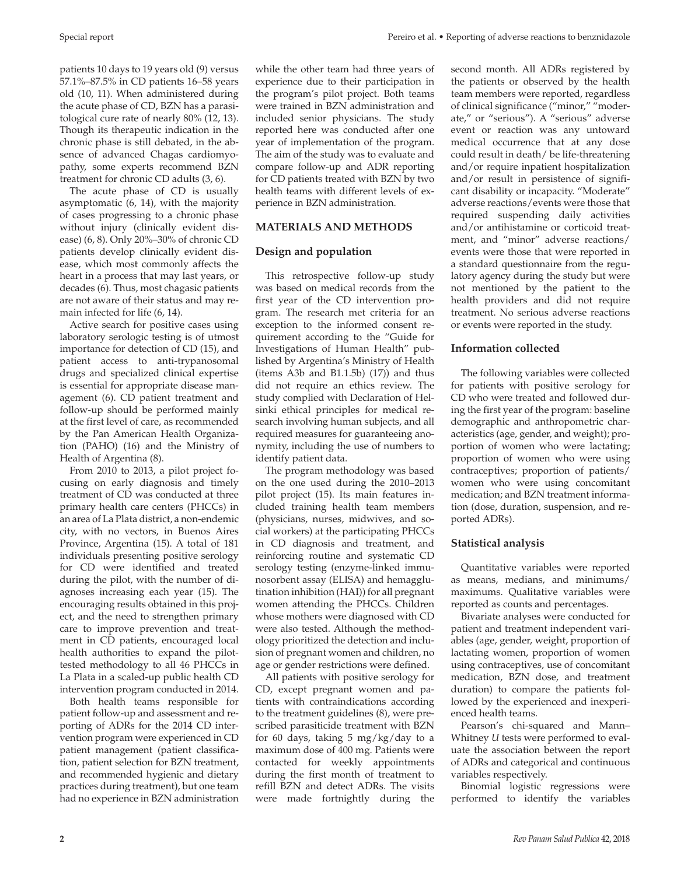patients 10 days to 19 years old (9) versus 57.1%–87.5% in CD patients 16–58 years old (10, 11). When administered during the acute phase of CD, BZN has a parasitological cure rate of nearly 80% (12, 13). Though its therapeutic indication in the chronic phase is still debated, in the absence of advanced Chagas cardiomyopathy, some experts recommend BZN treatment for chronic CD adults (3, 6).

The acute phase of CD is usually asymptomatic (6, 14), with the majority of cases progressing to a chronic phase without injury (clinically evident disease) (6, 8). Only 20%–30% of chronic CD patients develop clinically evident disease, which most commonly affects the heart in a process that may last years, or decades (6). Thus, most chagasic patients are not aware of their status and may remain infected for life (6, 14).

Active search for positive cases using laboratory serologic testing is of utmost importance for detection of CD (15), and patient access to anti-trypanosomal drugs and specialized clinical expertise is essential for appropriate disease management (6). CD patient treatment and follow-up should be performed mainly at the first level of care, as recommended by the Pan American Health Organization (PAHO) (16) and the Ministry of Health of Argentina (8).

From 2010 to 2013, a pilot project focusing on early diagnosis and timely treatment of CD was conducted at three primary health care centers (PHCCs) in an area of La Plata district, a non-endemic city, with no vectors, in Buenos Aires Province, Argentina (15). A total of 181 individuals presenting positive serology for CD were identified and treated during the pilot, with the number of diagnoses increasing each year (15). The encouraging results obtained in this project, and the need to strengthen primary care to improve prevention and treatment in CD patients, encouraged local health authorities to expand the pilottested methodology to all 46 PHCCs in La Plata in a scaled-up public health CD intervention program conducted in 2014.

Both health teams responsible for patient follow-up and assessment and reporting of ADRs for the 2014 CD intervention program were experienced in CD patient management (patient classification, patient selection for BZN treatment, and recommended hygienic and dietary practices during treatment), but one team had no experience in BZN administration

while the other team had three years of experience due to their participation in the program's pilot project. Both teams were trained in BZN administration and included senior physicians. The study reported here was conducted after one year of implementation of the program. The aim of the study was to evaluate and compare follow-up and ADR reporting for CD patients treated with BZN by two health teams with different levels of experience in BZN administration.

# **MATERIALS AND METHODS**

# **Design and population**

This retrospective follow-up study was based on medical records from the first year of the CD intervention program. The research met criteria for an exception to the informed consent requirement according to the "Guide for Investigations of Human Health" published by Argentina's Ministry of Health (items  $A3b$  and  $B1.1.5b$ )  $(17)$ ) and thus did not require an ethics review. The study complied with Declaration of Helsinki ethical principles for medical research involving human subjects, and all required measures for guaranteeing anonymity, including the use of numbers to identify patient data.

The program methodology was based on the one used during the 2010–2013 pilot project (15). Its main features included training health team members (physicians, nurses, midwives, and social workers) at the participating PHCCs in CD diagnosis and treatment, and reinforcing routine and systematic CD serology testing (enzyme-linked immunosorbent assay (ELISA) and hemagglutination inhibition (HAI)) for all pregnant women attending the PHCCs. Children whose mothers were diagnosed with CD were also tested. Although the methodology prioritized the detection and inclusion of pregnant women and children, no age or gender restrictions were defined.

All patients with positive serology for CD, except pregnant women and patients with contraindications according to the treatment guidelines (8), were prescribed parasiticide treatment with BZN for 60 days, taking 5 mg/kg/day to a maximum dose of 400 mg. Patients were contacted for weekly appointments during the first month of treatment to refill BZN and detect ADRs. The visits were made fortnightly during the

Special report **Pereiro et al. • Reporting of adverse reactions to benznidazole** 

second month. All ADRs registered by the patients or observed by the health team members were reported, regardless of clinical significance ("minor," "moderate," or "serious"). A "serious" adverse event or reaction was any untoward medical occurrence that at any dose could result in death/ be life-threatening and/or require inpatient hospitalization and/or result in persistence of significant disability or incapacity. "Moderate" adverse reactions/events were those that required suspending daily activities and/or antihistamine or corticoid treatment, and "minor" adverse reactions/ events were those that were reported in a standard questionnaire from the regulatory agency during the study but were not mentioned by the patient to the health providers and did not require treatment. No serious adverse reactions or events were reported in the study.

# **Information collected**

The following variables were collected for patients with positive serology for CD who were treated and followed during the first year of the program: baseline demographic and anthropometric characteristics (age, gender, and weight); proportion of women who were lactating; proportion of women who were using contraceptives; proportion of patients/ women who were using concomitant medication; and BZN treatment information (dose, duration, suspension, and reported ADRs).

# **Statistical analysis**

Quantitative variables were reported as means, medians, and minimums/ maximums. Qualitative variables were reported as counts and percentages.

Bivariate analyses were conducted for patient and treatment independent variables (age, gender, weight, proportion of lactating women, proportion of women using contraceptives, use of concomitant medication, BZN dose, and treatment duration) to compare the patients followed by the experienced and inexperienced health teams.

Pearson's chi-squared and Mann– Whitney *U* tests were performed to evaluate the association between the report of ADRs and categorical and continuous variables respectively.

Binomial logistic regressions were performed to identify the variables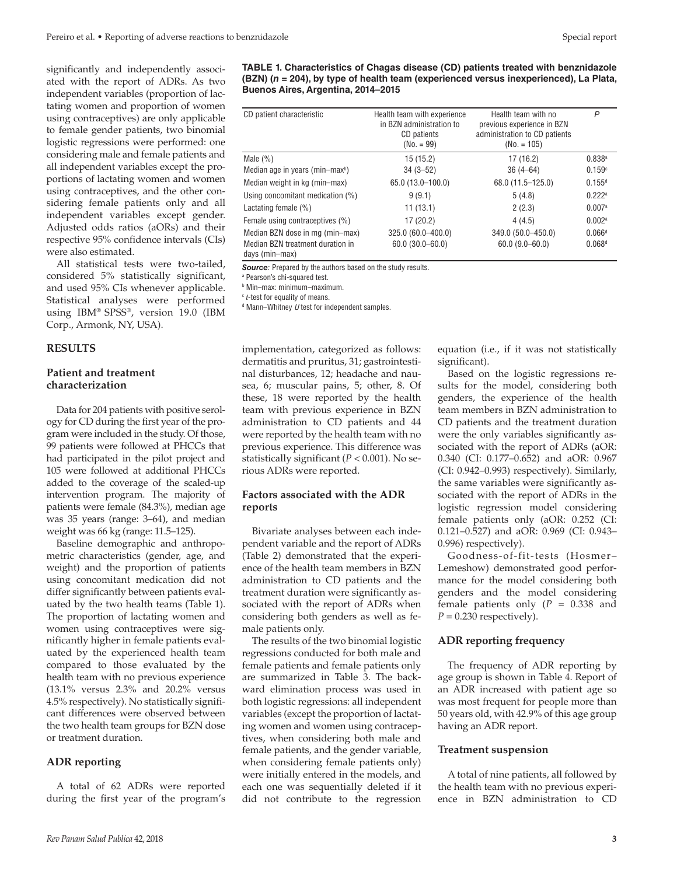significantly and independently associated with the report of ADRs. As two independent variables (proportion of lactating women and proportion of women using contraceptives) are only applicable to female gender patients, two binomial logistic regressions were performed: one considering male and female patients and all independent variables except the proportions of lactating women and women using contraceptives, and the other considering female patients only and all independent variables except gender. Adjusted odds ratios (aORs) and their respective 95% confidence intervals (CIs) were also estimated.

All statistical tests were two-tailed, considered 5% statistically significant, and used 95% CIs whenever applicable. Statistical analyses were performed using IBM® SPSS®, version 19.0 (IBM Corp., Armonk, NY, USA).

#### **RESULTS**

# **Patient and treatment characterization**

Data for 204 patients with positive serology for CD during the first year of the program were included in the study. Of those, 99 patients were followed at PHCCs that had participated in the pilot project and 105 were followed at additional PHCCs added to the coverage of the scaled-up intervention program. The majority of patients were female (84.3%), median age was 35 years (range: 3–64), and median weight was 66 kg (range: 11.5–125).

Baseline demographic and anthropometric characteristics (gender, age, and weight) and the proportion of patients using concomitant medication did not differ significantly between patients evaluated by the two health teams (Table 1). The proportion of lactating women and women using contraceptives were significantly higher in female patients evaluated by the experienced health team compared to those evaluated by the health team with no previous experience (13.1% versus 2.3% and 20.2% versus 4.5% respectively). No statistically significant differences were observed between the two health team groups for BZN dose or treatment duration.

#### **ADR reporting**

A total of 62 ADRs were reported during the first year of the program's **TABLE 1. Characteristics of Chagas disease (CD) patients treated with benznidazole (BZN) (***n* **= 204), by type of health team (experienced versus inexperienced), La Plata, Buenos Aires, Argentina, 2014–2015**

| CD patient characteristic                                                             | Health team with experience<br>in BZN administration to<br>CD patients<br>$(No. = 99)$ | Health team with no<br>previous experience in BZN<br>administration to CD patients<br>$(No. = 105)$ | P                                          |
|---------------------------------------------------------------------------------------|----------------------------------------------------------------------------------------|-----------------------------------------------------------------------------------------------------|--------------------------------------------|
| Male $(\%)$                                                                           | 15(15.2)                                                                               | 17(16.2)                                                                                            | 0.838a                                     |
| Median age in years (min-max <sup>b</sup> )                                           | $34(3-52)$                                                                             | $36(4 - 64)$                                                                                        | 0.159c                                     |
| Median weight in kg (min-max)                                                         | 65.0 (13.0-100.0)                                                                      | 68.0 (11.5-125.0)                                                                                   | $0.155^{d}$                                |
| Using concomitant medication (%)                                                      | 9(9.1)                                                                                 | 5(4.8)                                                                                              | $0.222$ <sup>a</sup>                       |
| Lactating female (%)                                                                  | 11(13.1)                                                                               | 2(2.3)                                                                                              | 0.007a                                     |
| Female using contraceptives (%)                                                       | 17(20.2)                                                                               | 4(4.5)                                                                                              | $0.002$ <sup>a</sup>                       |
| Median BZN dose in mg (min-max)<br>Median BZN treatment duration in<br>days (min-max) | 325.0 (60.0-400.0)<br>$60.0(30.0 - 60.0)$                                              | 349.0 (50.0-450.0)<br>$60.0(9.0 - 60.0)$                                                            | $0.066$ <sup>d</sup><br>0.068 <sup>d</sup> |

*Source:* Prepared by the authors based on the study results.

a Pearson's chi-squared test.

b Min–max: minimum–maximum.

<sup>c</sup> *t*-test for equality of means.

d Mann–Whitney *U* test for independent samples.

implementation, categorized as follows: dermatitis and pruritus, 31; gastrointestinal disturbances, 12; headache and nausea, 6; muscular pains, 5; other, 8. Of these, 18 were reported by the health team with previous experience in BZN administration to CD patients and 44 were reported by the health team with no previous experience. This difference was statistically significant (*P* < 0.001). No serious ADRs were reported.

### **Factors associated with the ADR reports**

Bivariate analyses between each independent variable and the report of ADRs (Table 2) demonstrated that the experience of the health team members in BZN administration to CD patients and the treatment duration were significantly associated with the report of ADRs when considering both genders as well as female patients only.

The results of the two binomial logistic regressions conducted for both male and female patients and female patients only are summarized in Table 3. The backward elimination process was used in both logistic regressions: all independent variables (except the proportion of lactating women and women using contraceptives, when considering both male and female patients, and the gender variable, when considering female patients only) were initially entered in the models, and each one was sequentially deleted if it did not contribute to the regression

equation (i.e., if it was not statistically significant).

Based on the logistic regressions results for the model, considering both genders, the experience of the health team members in BZN administration to CD patients and the treatment duration were the only variables significantly associated with the report of ADRs (aOR: 0.340 (CI: 0.177–0.652) and aOR: 0.967 (CI: 0.942–0.993) respectively). Similarly, the same variables were significantly associated with the report of ADRs in the logistic regression model considering female patients only (aOR: 0.252 (CI: 0.121–0.527) and aOR: 0.969 (CI: 0.943– 0.996) respectively).

Goodness-of-fit-tests (Hosmer– Lemeshow) demonstrated good performance for the model considering both genders and the model considering female patients only (*P* = 0.338 and  $P = 0.230$  respectively).

#### **ADR reporting frequency**

The frequency of ADR reporting by age group is shown in Table 4. Report of an ADR increased with patient age so was most frequent for people more than 50 years old, with 42.9% of this age group having an ADR report.

#### **Treatment suspension**

A total of nine patients, all followed by the health team with no previous experience in BZN administration to CD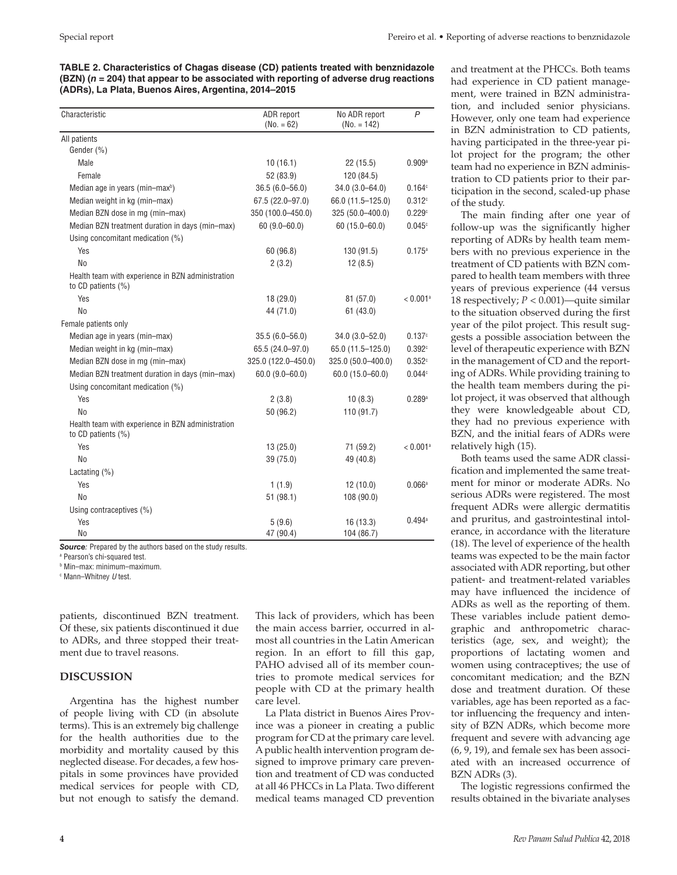**TABLE 2. Characteristics of Chagas disease (CD) patients treated with benznidazole (BZN) (***n* **= 204) that appear to be associated with reporting of adverse drug reactions (ADRs), La Plata, Buenos Aires, Argentina, 2014–2015**

| Characteristic                                                             | ADR report<br>$(No. = 62)$ | No ADR report<br>$(No. = 142)$ | $\overline{P}$         |
|----------------------------------------------------------------------------|----------------------------|--------------------------------|------------------------|
| All patients                                                               |                            |                                |                        |
| Gender (%)                                                                 |                            |                                |                        |
| Male                                                                       | 10(16.1)                   | 22(15.5)                       | 0.909a                 |
| Female                                                                     | 52 (83.9)                  | 120 (84.5)                     |                        |
| Median age in years (min-max <sup>b</sup> )                                | $36.5(6.0 - 56.0)$         | $34.0(3.0 - 64.0)$             | 0.164c                 |
| Median weight in kg (min-max)                                              | $67.5(22.0 - 97.0)$        | 66.0 (11.5-125.0)              | 0.312c                 |
| Median BZN dose in mg (min-max)                                            | 350 (100.0-450.0)          | 325 (50.0-400.0)               | 0.229c                 |
| Median BZN treatment duration in days (min-max)                            | $60(9.0 - 60.0)$           | $60(15.0 - 60.0)$              | 0.045c                 |
| Using concomitant medication (%)                                           |                            |                                |                        |
| Yes                                                                        | 60 (96.8)                  | 130 (91.5)                     | 0.175a                 |
| <b>No</b>                                                                  | 2(3.2)                     | 12(8.5)                        |                        |
| Health team with experience in BZN administration<br>to CD patients $(\%)$ |                            |                                |                        |
| Yes                                                                        | 18(29.0)                   | 81 (57.0)                      | $< 0.001$ <sup>a</sup> |
| N <sub>0</sub>                                                             | 44 (71.0)                  | 61(43.0)                       |                        |
| Female patients only                                                       |                            |                                |                        |
| Median age in years (min-max)                                              | $35.5(6.0 - 56.0)$         | $34.0(3.0 - 52.0)$             | 0.137c                 |
| Median weight in kg (min-max)                                              | 65.5 (24.0-97.0)           | 65.0 (11.5-125.0)              | 0.392c                 |
| Median BZN dose in mg (min-max)                                            | 325.0 (122.0-450.0)        | 325.0 (50.0-400.0)             | 0.352c                 |
| Median BZN treatment duration in days (min-max)                            | $60.0(9.0 - 60.0)$         | $60.0(15.0 - 60.0)$            | 0.044c                 |
| Using concomitant medication (%)                                           |                            |                                |                        |
| Yes                                                                        | 2(3.8)                     | 10(8.3)                        | 0.289a                 |
| No                                                                         | 50 (96.2)                  | 110 (91.7)                     |                        |
| Health team with experience in BZN administration<br>to CD patients $(\%)$ |                            |                                |                        |
| Yes                                                                        | 13(25.0)                   | 71 (59.2)                      | $< 0.001$ <sup>a</sup> |
| <b>No</b>                                                                  | 39 (75.0)                  | 49 (40.8)                      |                        |
| Lactating $(\%)$                                                           |                            |                                |                        |
| Yes                                                                        | 1(1.9)                     | 12(10.0)                       | 0.066a                 |
| No                                                                         | 51(98.1)                   | 108 (90.0)                     |                        |
| Using contraceptives (%)                                                   |                            |                                |                        |
| Yes                                                                        | 5(9.6)                     | 16(13.3)                       | 0.494a                 |
| No                                                                         | 47 (90.4)                  | 104 (86.7)                     |                        |

**Source**: Prepared by the authors based on the study results.

a Pearson's chi-squared test.

b Min–max: minimum–maximum.

c Mann–Whitney *U* test.

patients, discontinued BZN treatment. Of these, six patients discontinued it due to ADRs, and three stopped their treatment due to travel reasons.

# **DISCUSSION**

Argentina has the highest number of people living with CD (in absolute terms). This is an extremely big challenge for the health authorities due to the morbidity and mortality caused by this neglected disease. For decades, a few hospitals in some provinces have provided medical services for people with CD, but not enough to satisfy the demand. This lack of providers, which has been the main access barrier, occurred in almost all countries in the Latin American region. In an effort to fill this gap, PAHO advised all of its member countries to promote medical services for people with CD at the primary health care level.

La Plata district in Buenos Aires Province was a pioneer in creating a public program for CD at the primary care level. A public health intervention program designed to improve primary care prevention and treatment of CD was conducted at all 46 PHCCs in La Plata. Two different medical teams managed CD prevention

and treatment at the PHCCs. Both teams had experience in CD patient management, were trained in BZN administration, and included senior physicians. However, only one team had experience in BZN administration to CD patients, having participated in the three-year pilot project for the program; the other team had no experience in BZN administration to CD patients prior to their participation in the second, scaled-up phase of the study.

The main finding after one year of follow-up was the significantly higher reporting of ADRs by health team members with no previous experience in the treatment of CD patients with BZN compared to health team members with three years of previous experience (44 versus 18 respectively; *P* < 0.001)—quite similar to the situation observed during the first year of the pilot project. This result suggests a possible association between the level of therapeutic experience with BZN in the management of CD and the reporting of ADRs. While providing training to the health team members during the pilot project, it was observed that although they were knowledgeable about CD, they had no previous experience with BZN, and the initial fears of ADRs were relatively high (15).

Both teams used the same ADR classification and implemented the same treatment for minor or moderate ADRs. No serious ADRs were registered. The most frequent ADRs were allergic dermatitis and pruritus, and gastrointestinal intolerance, in accordance with the literature (18). The level of experience of the health teams was expected to be the main factor associated with ADR reporting, but other patient- and treatment-related variables may have influenced the incidence of ADRs as well as the reporting of them. These variables include patient demographic and anthropometric characteristics (age, sex, and weight); the proportions of lactating women and women using contraceptives; the use of concomitant medication; and the BZN dose and treatment duration. Of these variables, age has been reported as a factor influencing the frequency and intensity of BZN ADRs, which become more frequent and severe with advancing age (6, 9, 19), and female sex has been associated with an increased occurrence of BZN ADRs (3).

The logistic regressions confirmed the results obtained in the bivariate analyses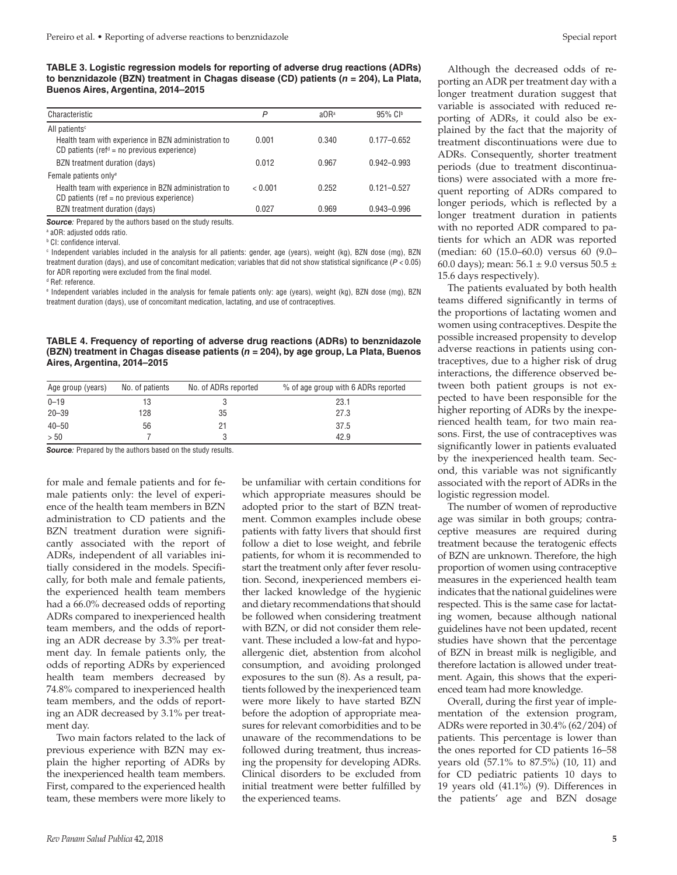**TABLE 3. Logistic regression models for reporting of adverse drug reactions (ADRs) to benznidazole (BZN) treatment in Chagas disease (CD) patients (***n* **= 204), La Plata, Buenos Aires, Argentina, 2014–2015**

| Characteristic                                                                                                               | P       | $a$ OR <sup>a</sup> | $95\%$ CI <sup>b</sup> |
|------------------------------------------------------------------------------------------------------------------------------|---------|---------------------|------------------------|
| All patients <sup>c</sup>                                                                                                    |         |                     |                        |
| Health team with experience in BZN administration to<br>CD patients (ref <sup><math>d</math></sup> = no previous experience) | 0.001   | 0.340               | $0.177 - 0.652$        |
| BZN treatment duration (days)                                                                                                | 0.012   | 0.967               | $0.942 - 0.993$        |
| Female patients only <sup>e</sup>                                                                                            |         |                     |                        |
| Health team with experience in BZN administration to<br>CD patients (ref = $no$ previous experience)                         | < 0.001 | 0.252               | $0.121 - 0.527$        |
| BZN treatment duration (days)                                                                                                | 0.027   | 0.969               | $0.943 - 0.996$        |

*Source:* Prepared by the authors based on the study results.

a aOR: adjusted odds ratio.

b CI: confidence interval.

c Independent variables included in the analysis for all patients: gender, age (years), weight (kg), BZN dose (mg), BZN treatment duration (days), and use of concomitant medication; variables that did not show statistical significance (*P* < 0.05) for ADR reporting were excluded from the final model.

d Ref: reference.

e Independent variables included in the analysis for female patients only: age (years), weight (kg), BZN dose (mg), BZN treatment duration (days), use of concomitant medication, lactating, and use of contraceptives.

**TABLE 4. Frequency of reporting of adverse drug reactions (ADRs) to benznidazole (BZN) treatment in Chagas disease patients (***n* **= 204), by age group, La Plata, Buenos Aires, Argentina, 2014–2015**

| Age group (years) | No. of patients | No. of ADRs reported | % of age group with 6 ADRs reported |
|-------------------|-----------------|----------------------|-------------------------------------|
| $0 - 19$          | 13              |                      | 23.1                                |
| $20 - 39$         | 128             | 35                   | 27.3                                |
| $40 - 50$         | 56              |                      | 37.5                                |
| > 50              |                 |                      | 42.9                                |

*Source:* Prepared by the authors based on the study results.

for male and female patients and for female patients only: the level of experience of the health team members in BZN administration to CD patients and the BZN treatment duration were significantly associated with the report of ADRs, independent of all variables initially considered in the models. Specifically, for both male and female patients, the experienced health team members had a 66.0% decreased odds of reporting ADRs compared to inexperienced health team members, and the odds of reporting an ADR decrease by 3.3% per treatment day. In female patients only, the odds of reporting ADRs by experienced health team members decreased by 74.8% compared to inexperienced health team members, and the odds of reporting an ADR decreased by 3.1% per treatment day.

Two main factors related to the lack of previous experience with BZN may explain the higher reporting of ADRs by the inexperienced health team members. First, compared to the experienced health team, these members were more likely to be unfamiliar with certain conditions for which appropriate measures should be adopted prior to the start of BZN treatment. Common examples include obese patients with fatty livers that should first follow a diet to lose weight, and febrile patients, for whom it is recommended to start the treatment only after fever resolution. Second, inexperienced members either lacked knowledge of the hygienic and dietary recommendations that should be followed when considering treatment with BZN, or did not consider them relevant. These included a low-fat and hypoallergenic diet, abstention from alcohol consumption, and avoiding prolonged exposures to the sun (8). As a result, patients followed by the inexperienced team were more likely to have started BZN before the adoption of appropriate measures for relevant comorbidities and to be unaware of the recommendations to be followed during treatment, thus increasing the propensity for developing ADRs. Clinical disorders to be excluded from initial treatment were better fulfilled by the experienced teams.

Although the decreased odds of reporting an ADR per treatment day with a longer treatment duration suggest that variable is associated with reduced reporting of ADRs, it could also be explained by the fact that the majority of treatment discontinuations were due to ADRs. Consequently, shorter treatment periods (due to treatment discontinuations) were associated with a more frequent reporting of ADRs compared to longer periods, which is reflected by a longer treatment duration in patients with no reported ADR compared to patients for which an ADR was reported (median: 60 (15.0–60.0) versus 60 (9.0– 60.0 days); mean:  $56.1 \pm 9.0$  versus  $50.5 \pm 1.0$ 15.6 days respectively).

The patients evaluated by both health teams differed significantly in terms of the proportions of lactating women and women using contraceptives. Despite the possible increased propensity to develop adverse reactions in patients using contraceptives, due to a higher risk of drug interactions, the difference observed between both patient groups is not expected to have been responsible for the higher reporting of ADRs by the inexperienced health team, for two main reasons. First, the use of contraceptives was significantly lower in patients evaluated by the inexperienced health team. Second, this variable was not significantly associated with the report of ADRs in the logistic regression model.

The number of women of reproductive age was similar in both groups; contraceptive measures are required during treatment because the teratogenic effects of BZN are unknown. Therefore, the high proportion of women using contraceptive measures in the experienced health team indicates that the national guidelines were respected. This is the same case for lactating women, because although national guidelines have not been updated, recent studies have shown that the percentage of BZN in breast milk is negligible, and therefore lactation is allowed under treatment. Again, this shows that the experienced team had more knowledge.

Overall, during the first year of implementation of the extension program, ADRs were reported in 30.4% (62/204) of patients. This percentage is lower than the ones reported for CD patients 16–58 years old (57.1% to 87.5%) (10, 11) and for CD pediatric patients 10 days to 19 years old (41.1%) (9). Differences in the patients' age and BZN dosage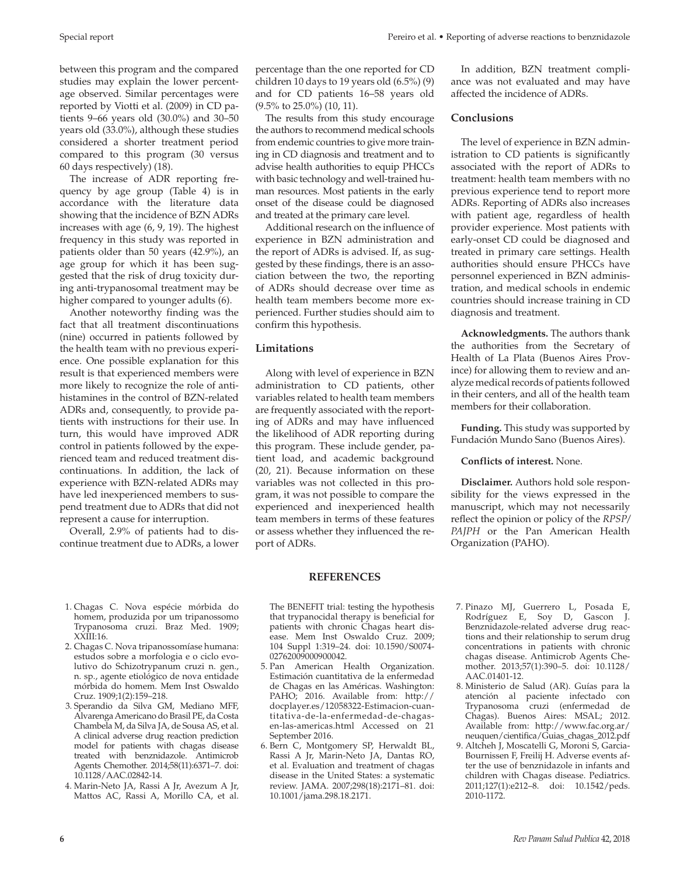Special report **Pereiro et al. • Reporting of adverse reactions to benznidazole** 

between this program and the compared studies may explain the lower percentage observed. Similar percentages were reported by Viotti et al. (2009) in CD patients 9–66 years old (30.0%) and 30–50 years old (33.0%), although these studies considered a shorter treatment period compared to this program (30 versus 60 days respectively) (18).

The increase of ADR reporting frequency by age group (Table 4) is in accordance with the literature data showing that the incidence of BZN ADRs increases with age (6, 9, 19). The highest frequency in this study was reported in patients older than 50 years (42.9%), an age group for which it has been suggested that the risk of drug toxicity during anti-trypanosomal treatment may be higher compared to younger adults (6).

Another noteworthy finding was the fact that all treatment discontinuations (nine) occurred in patients followed by the health team with no previous experience. One possible explanation for this result is that experienced members were more likely to recognize the role of antihistamines in the control of BZN-related ADRs and, consequently, to provide patients with instructions for their use. In turn, this would have improved ADR control in patients followed by the experienced team and reduced treatment discontinuations. In addition, the lack of experience with BZN-related ADRs may have led inexperienced members to suspend treatment due to ADRs that did not represent a cause for interruption.

Overall, 2.9% of patients had to discontinue treatment due to ADRs, a lower

- 1. Chagas C. Nova espécie mórbida do homem, produzida por um tripanossomo Trypanosoma cruzi. Braz Med. 1909; XXIII:16.
- 2. Chagas C. Nova tripanossomíase humana: estudos sobre a morfologia e o ciclo evolutivo do Schizotrypanum cruzi n. gen., n. sp., agente etiológico de nova entidade mórbida do homem. Mem Inst Oswaldo Cruz. 1909;1(2):159–218.
- 3. Sperandio da Silva GM, Mediano MFF, Alvarenga Americano do Brasil PE, da Costa Chambela M, da Silva JA, de Sousa AS, et al. A clinical adverse drug reaction prediction model for patients with chagas disease treated with benznidazole. Antimicrob Agents Chemother. 2014;58(11):6371–7. doi: 10.1128/AAC.02842-14.
- 4. Marin-Neto JA, Rassi A Jr, Avezum A Jr, Mattos AC, Rassi A, Morillo CA, et al.

percentage than the one reported for CD children 10 days to 19 years old (6.5%) (9) and for CD patients 16–58 years old (9.5% to 25.0%) (10, 11).

The results from this study encourage the authors to recommend medical schools from endemic countries to give more training in CD diagnosis and treatment and to advise health authorities to equip PHCCs with basic technology and well-trained human resources. Most patients in the early onset of the disease could be diagnosed and treated at the primary care level.

Additional research on the influence of experience in BZN administration and the report of ADRs is advised. If, as suggested by these findings, there is an association between the two, the reporting of ADRs should decrease over time as health team members become more experienced. Further studies should aim to confirm this hypothesis.

# **Limitations**

Along with level of experience in BZN administration to CD patients, other variables related to health team members are frequently associated with the reporting of ADRs and may have influenced the likelihood of ADR reporting during this program. These include gender, patient load, and academic background (20, 21). Because information on these variables was not collected in this program, it was not possible to compare the experienced and inexperienced health team members in terms of these features or assess whether they influenced the report of ADRs.

In addition, BZN treatment compliance was not evaluated and may have affected the incidence of ADRs.

### **Conclusions**

The level of experience in BZN administration to CD patients is significantly associated with the report of ADRs to treatment: health team members with no previous experience tend to report more ADRs. Reporting of ADRs also increases with patient age, regardless of health provider experience. Most patients with early-onset CD could be diagnosed and treated in primary care settings. Health authorities should ensure PHCCs have personnel experienced in BZN administration, and medical schools in endemic countries should increase training in CD diagnosis and treatment.

**Acknowledgments.** The authors thank the authorities from the Secretary of Health of La Plata (Buenos Aires Province) for allowing them to review and analyze medical records of patients followed in their centers, and all of the health team members for their collaboration.

**Funding.** This study was supported by Fundación Mundo Sano (Buenos Aires).

# **Conflicts of interest.** None.

**Disclaimer.** Authors hold sole responsibility for the views expressed in the manuscript, which may not necessarily reflect the opinion or policy of the *RPSP/ PAJPH* or the Pan American Health Organization (PAHO).

# **REFERENCES**

The BENEFIT trial: testing the hypothesis that trypanocidal therapy is beneficial for patients with chronic Chagas heart disease. Mem Inst Oswaldo Cruz. 2009; 104 Suppl 1:319–24. doi: 10.1590/S0074- 02762009000900042.

- 5. Pan American Health Organization. Estimación cuantitativa de la enfermedad de Chagas en las Américas. Washington: PAHO; 2016. Available from: [http://](http://docplayer.es/12058322-Estimacion-cuantitativa-de-la-enfermedad-de-chagas-en-las-americas.html) [docplayer.es/12058322-Estimacion-cuan](http://docplayer.es/12058322-Estimacion-cuantitativa-de-la-enfermedad-de-chagas-en-las-americas.html)[titativa-de-la-enfermedad-de-chagas](http://docplayer.es/12058322-Estimacion-cuantitativa-de-la-enfermedad-de-chagas-en-las-americas.html)[en-las-americas.html](http://docplayer.es/12058322-Estimacion-cuantitativa-de-la-enfermedad-de-chagas-en-las-americas.html) Accessed on 21 September 2016.
- 6. Bern C, Montgomery SP, Herwaldt BL, Rassi A Jr, Marin-Neto JA, Dantas RO, et al. Evaluation and treatment of chagas disease in the United States: a systematic review. JAMA. 2007;298(18):2171–81. doi: 10.1001/jama.298.18.2171.
- 7. Pinazo MJ, Guerrero L, Posada E, Rodríguez E, Soy D, Gascon J. Benznidazole-related adverse drug reactions and their relationship to serum drug concentrations in patients with chronic chagas disease. Antimicrob Agents Chemother. 2013;57(1):390–5. doi: 10.1128/ AAC.01401-12.
- 8. Ministerio de Salud (AR). Guías para la atención al paciente infectado con Trypanosoma cruzi (enfermedad de Chagas). Buenos Aires: MSAL; 2012. Available from: [http://www.fac.org.ar/](http://www.fac.org.ar/neuquen/cientifica/Guias_chagas_2012.pdf) [neuquen/cientifica/Guias\\_chagas\\_2012.pdf](http://www.fac.org.ar/neuquen/cientifica/Guias_chagas_2012.pdf)
- 9. Altcheh J, Moscatelli G, Moroni S, Garcia-Bournissen F, Freilij H. Adverse events after the use of benznidazole in infants and children with Chagas disease. Pediatrics. 2011;127(1):e212–8. doi: 10.1542/peds. 2010-1172.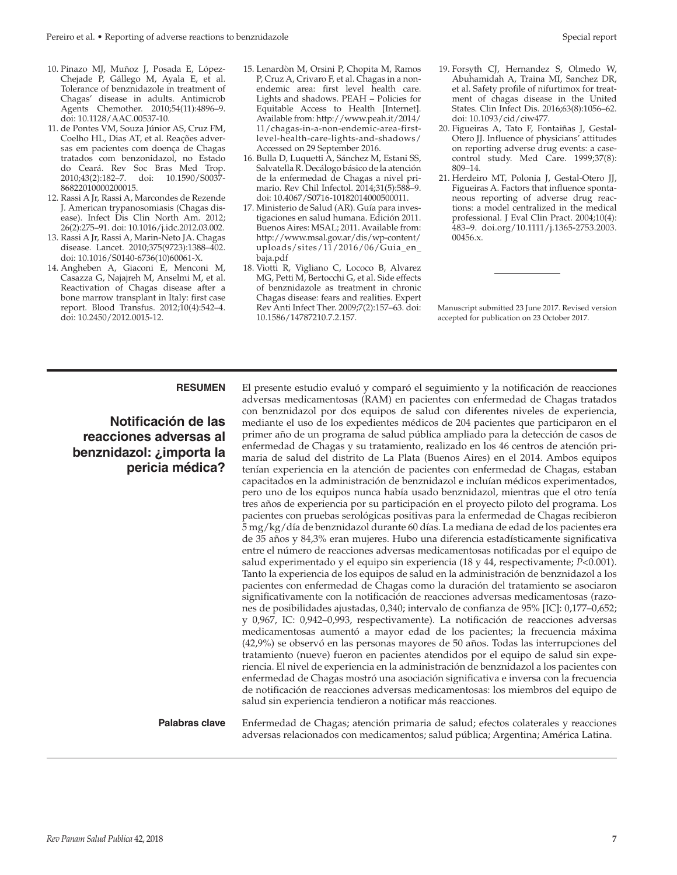- 10. Pinazo MJ, Muñoz J, Posada E, López-Chejade P, Gállego M, Ayala E, et al. Tolerance of benznidazole in treatment of Chagas' disease in adults. Antimicrob Agents Chemother. 2010;54(11):4896–9. doi: 10.1128/AAC.00537-10.
- 11. de Pontes VM, Souza Júnior AS, Cruz FM, Coelho HL, Dias AT, et al. Reações adversas em pacientes com doença de Chagas tratados com benzonidazol, no Estado do Ceará. Rev Soc Bras Med Trop. 2010;43(2):182–7. doi: 10.1590/S0037- 86822010000200015.
- 12. Rassi A Jr, Rassi A, Marcondes de Rezende J. American trypanosomiasis (Chagas disease). Infect Dis Clin North Am. 2012; 26(2):275–91. doi: 10.1016/j.idc.2012.03.002.
- 13. Rassi A Jr, Rassi A, Marin-Neto JA. Chagas disease. Lancet. 2010;375(9723):1388–402. doi: 10.1016/S0140-6736(10)60061-X.
- 14. Angheben A, Giaconi E, Menconi M, Casazza G, Najajreh M, Anselmi M, et al. Reactivation of Chagas disease after a bone marrow transplant in Italy: first case report. Blood Transfus. 2012;10(4):542–4. doi: 10.2450/2012.0015-12.
- 15. Lenardòn M, Orsini P, Chopita M, Ramos P, Cruz A, Crivaro F, et al. Chagas in a nonendemic area: first level health care. Lights and shadows. PEAH – Policies for Equitable Access to Health [Internet]. Available from: [http://www.peah.it/2014/](http://www.peah.it/2014/11/chagas-in-a-non-endemic-area-first-level-health-care-lights-and-shadows/) [11/chagas-in-a-non-endemic-area-first](http://www.peah.it/2014/11/chagas-in-a-non-endemic-area-first-level-health-care-lights-and-shadows/)[level-health-care-lights-and-shadows/](http://www.peah.it/2014/11/chagas-in-a-non-endemic-area-first-level-health-care-lights-and-shadows/) Accessed on 29 September 2016.
- 16. Bulla D, Luquetti A, Sánchez M, Estani SS, Salvatella R. Decálogo básico de la atención de la enfermedad de Chagas a nivel primario. Rev Chil Infectol. 2014;31(5):588–9. doi: 10.4067/S0716-10182014000500011.
- 17. Ministerio de Salud (AR). Guía para investigaciones en salud humana. Edición 2011. Buenos Aires: MSAL; 2011. Available from: [http://www.msal.gov.ar/dis/wp-content/](http://www.msal.gov.ar/dis/wp-content/uploads/sites/11/2016/06/Guia_en_baja.pdf) [uploads/sites/11/2016/06/Guia\\_en\\_](http://www.msal.gov.ar/dis/wp-content/uploads/sites/11/2016/06/Guia_en_baja.pdf) [baja.pdf](http://www.msal.gov.ar/dis/wp-content/uploads/sites/11/2016/06/Guia_en_baja.pdf)
- 18. Viotti R, Vigliano C, Lococo B, Alvarez MG, Petti M, Bertocchi G, et al. Side effects of benznidazole as treatment in chronic Chagas disease: fears and realities. Expert Rev Anti Infect Ther. 2009;7(2):157–63. doi: 10.1586/14787210.7.2.157.
- 19. Forsyth CJ, Hernandez S, Olmedo W, Abuhamidah A, Traina MI, Sanchez DR, et al. Safety profile of nifurtimox for treatment of chagas disease in the United States. Clin Infect Dis. 2016;63(8):1056–62. doi: 10.1093/cid/ciw477.
- 20. Figueiras A, Tato F, Fontaiñas J, Gestal-Otero JJ. Influence of physicians' attitudes on reporting adverse drug events: a casecontrol study. Med Care. 1999;37(8): 809–14.
- 21. Herdeiro MT, Polonia J, Gestal-Otero JJ, Figueiras A. Factors that influence spontaneous reporting of adverse drug reactions: a model centralized in the medical professional. J Eval Clin Pract. 2004;10(4): 483–9. doi.org/10.1111/j.1365-2753.2003. 00456.x.

Manuscript submitted 23 June 2017. Revised version accepted for publication on 23 October 2017.

**Notificación de las reacciones adversas al benznidazol: ¿importa la pericia médica?** 

**RESUMEN** El presente estudio evaluó y comparó el seguimiento y la notificación de reacciones adversas medicamentosas (RAM) en pacientes con enfermedad de Chagas tratados con benznidazol por dos equipos de salud con diferentes niveles de experiencia, mediante el uso de los expedientes médicos de 204 pacientes que participaron en el primer año de un programa de salud pública ampliado para la detección de casos de enfermedad de Chagas y su tratamiento, realizado en los 46 centros de atención primaria de salud del distrito de La Plata (Buenos Aires) en el 2014. Ambos equipos tenían experiencia en la atención de pacientes con enfermedad de Chagas, estaban capacitados en la administración de benznidazol e incluían médicos experimentados, pero uno de los equipos nunca había usado benznidazol, mientras que el otro tenía tres años de experiencia por su participación en el proyecto piloto del programa. Los pacientes con pruebas serológicas positivas para la enfermedad de Chagas recibieron 5 mg/kg/día de benznidazol durante 60 días. La mediana de edad de los pacientes era de 35 años y 84,3% eran mujeres. Hubo una diferencia estadísticamente significativa entre el número de reacciones adversas medicamentosas notificadas por el equipo de salud experimentado y el equipo sin experiencia (18 y 44, respectivamente; *P*<0.001). Tanto la experiencia de los equipos de salud en la administración de benznidazol a los pacientes con enfermedad de Chagas como la duración del tratamiento se asociaron significativamente con la notificación de reacciones adversas medicamentosas (razones de posibilidades ajustadas, 0,340; intervalo de confianza de 95% [IC]: 0,177–0,652; y 0,967, IC: 0,942–0,993, respectivamente). La notificación de reacciones adversas medicamentosas aumentó a mayor edad de los pacientes; la frecuencia máxima (42,9%) se observó en las personas mayores de 50 años. Todas las interrupciones del tratamiento (nueve) fueron en pacientes atendidos por el equipo de salud sin experiencia. El nivel de experiencia en la administración de benznidazol a los pacientes con enfermedad de Chagas mostró una asociación significativa e inversa con la frecuencia de notificación de reacciones adversas medicamentosas: los miembros del equipo de salud sin experiencia tendieron a notificar más reacciones.

**Palabras clave** Enfermedad de Chagas; atención primaria de salud; efectos colaterales y reacciones adversas relacionados con medicamentos; salud pública; Argentina; América Latina.